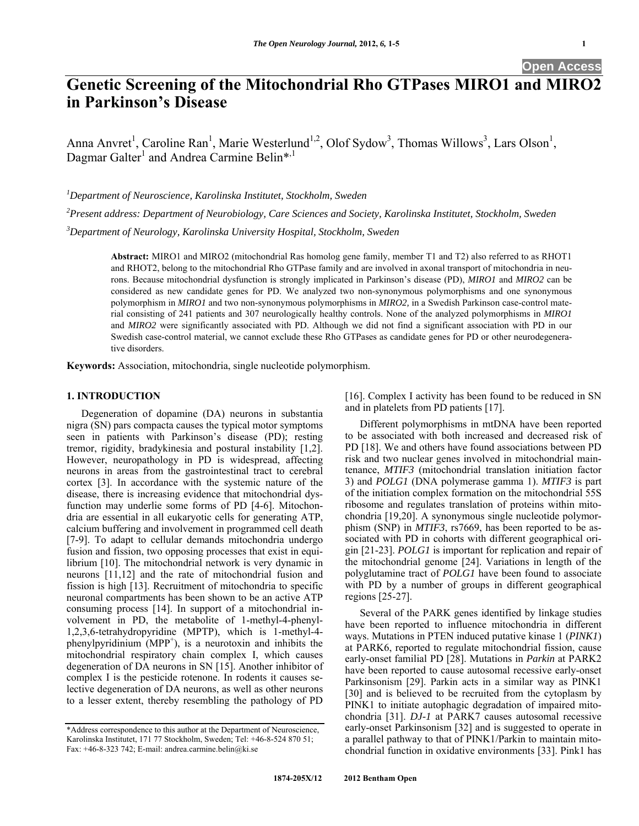# **Genetic Screening of the Mitochondrial Rho GTPases MIRO1 and MIR in Parkinson's Disease**

Anna Anvret<sup>1</sup>, Caroline Ran<sup>1</sup>, Marie Westerlund<sup>1,2</sup>, Olof Sydow<sup>3</sup>, Thomas Willows<sup>3</sup>, Lars Olson<sup>1</sup>, Dagmar Galter<sup>1</sup> and Andrea Carmine Belin\*<sup>,1</sup>

*1 Department of Neuroscience, Karolinska Institutet, Stockholm, Sweden* 

*2 Present address: Department of Neurobiology, Care Sciences and Society, Karolinska Institutet, Stockholm, Sweden* 

*3 Department of Neurology, Karolinska University Hospital, Stockholm, Sweden* 

**Abstract:** MIRO1 and MIRO2 (mitochondrial Ras homolog gene family, member T1 and T2) also referred to as RHOT1 and RHOT2, belong to the mitochondrial Rho GTPase family and are involved in axonal transport of mitochondria in neurons. Because mitochondrial dysfunction is strongly implicated in Parkinson's disease (PD), *MIRO1* and *MIRO2* can be considered as new candidate genes for PD. We analyzed two non-synonymous polymorphisms and one synonymous polymorphism in *MIRO1* and two non-synonymous polymorphisms in *MIRO2,* in a Swedish Parkinson case-control material consisting of 241 patients and 307 neurologically healthy controls. None of the analyzed polymorphisms in *MIRO1* and *MIRO2* were significantly associated with PD. Although we did not find a significant association with PD in our Swedish case-control material, we cannot exclude these Rho GTPases as candidate genes for PD or other neurodegenerative disorders.

**Keywords:** Association, mitochondria, single nucleotide polymorphism.

# **1. INTRODUCTION**

 Degeneration of dopamine (DA) neurons in substantia nigra (SN) pars compacta causes the typical motor symptoms seen in patients with Parkinson's disease (PD); resting tremor, rigidity, bradykinesia and postural instability [1,2]. However, neuropathology in PD is widespread, affecting neurons in areas from the gastrointestinal tract to cerebral cortex [3]. In accordance with the systemic nature of the disease, there is increasing evidence that mitochondrial dysfunction may underlie some forms of PD [4-6]. Mitochondria are essential in all eukaryotic cells for generating ATP, calcium buffering and involvement in programmed cell death [7-9]. To adapt to cellular demands mitochondria undergo fusion and fission, two opposing processes that exist in equilibrium [10]. The mitochondrial network is very dynamic in neurons [11,12] and the rate of mitochondrial fusion and fission is high [13]. Recruitment of mitochondria to specific neuronal compartments has been shown to be an active ATP consuming process [14]. In support of a mitochondrial involvement in PD, the metabolite of 1-methyl-4-phenyl-1,2,3,6-tetrahydropyridine (MPTP), which is 1-methyl-4  $phenylyrridinium (MPP<sup>+</sup>)$ , is a neurotoxin and inhibits the mitochondrial respiratory chain complex I, which causes degeneration of DA neurons in SN [15]. Another inhibitor of complex I is the pesticide rotenone. In rodents it causes selective degeneration of DA neurons, as well as other neurons to a lesser extent, thereby resembling the pathology of PD

[16]. Complex I activity has been found to be reduced in SN and in platelets from PD patients [17].

 Different polymorphisms in mtDNA have been reported to be associated with both increased and decreased risk of PD [18]. We and others have found associations between PD risk and two nuclear genes involved in mitochondrial maintenance, *MTIF3* (mitochondrial translation initiation factor 3) and *POLG1* (DNA polymerase gamma 1). *MTIF3* is part of the initiation complex formation on the mitochondrial 55S ribosome and regulates translation of proteins within mitochondria [19,20]. A synonymous single nucleotide polymorphism (SNP) in *MTIF3*, rs7669, has been reported to be associated with PD in cohorts with different geographical origin [21-23]. *POLG1* is important for replication and repair of the mitochondrial genome [24]. Variations in length of the polyglutamine tract of *POLG1* have been found to associate with PD by a number of groups in different geographical regions [25-27].

 Several of the PARK genes identified by linkage studies have been reported to influence mitochondria in different ways. Mutations in PTEN induced putative kinase 1 (*PINK1*) at PARK6, reported to regulate mitochondrial fission, cause early-onset familial PD [28]. Mutations in *Parkin* at PARK2 have been reported to cause autosomal recessive early-onset Parkinsonism [29]. Parkin acts in a similar way as PINK1 [30] and is believed to be recruited from the cytoplasm by PINK1 to initiate autophagic degradation of impaired mitochondria [31]. *DJ-1* at PARK7 causes autosomal recessive early-onset Parkinsonism [32] and is suggested to operate in a parallel pathway to that of PINK1/Parkin to maintain mitochondrial function in oxidative environments [33]. Pink1 has

<sup>\*</sup>Address correspondence to this author at the Department of Neuroscience, Karolinska Institutet, 171 77 Stockholm, Sweden; Tel: +46-8-524 870 51; Fax:  $+46-8-323$  742; E-mail: andrea.carmine.belin@ki.se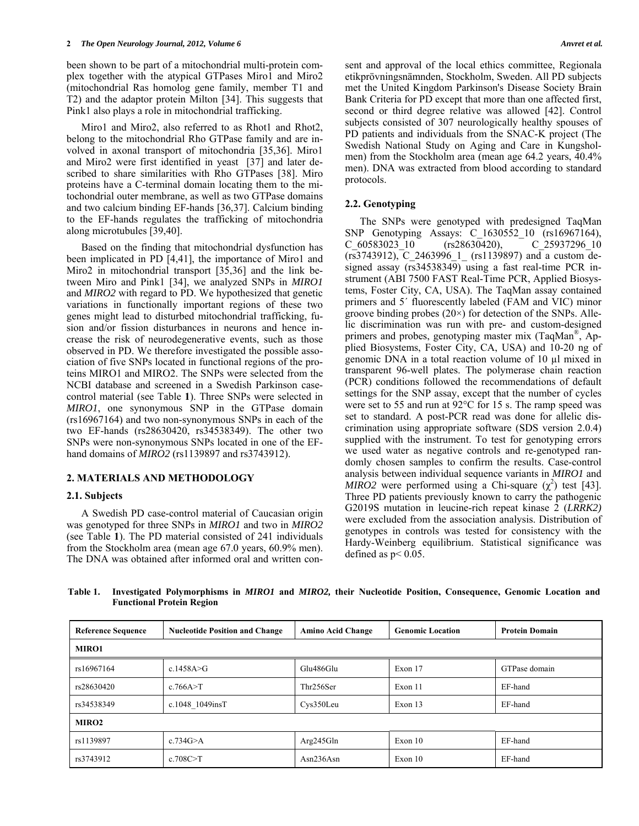been shown to be part of a mitochondrial multi-protein complex together with the atypical GTPases Miro1 and Miro2 (mitochondrial Ras homolog gene family, member T1 and T2) and the adaptor protein Milton [34]. This suggests that Pink1 also plays a role in mitochondrial trafficking.

 Miro1 and Miro2, also referred to as Rhot1 and Rhot2, belong to the mitochondrial Rho GTPase family and are involved in axonal transport of mitochondria [35,36]. Miro1 and Miro2 were first identified in yeast [37] and later described to share similarities with Rho GTPases [38]. Miro proteins have a C-terminal domain locating them to the mitochondrial outer membrane, as well as two GTPase domains and two calcium binding EF-hands [36,37]. Calcium binding to the EF-hands regulates the trafficking of mitochondria along microtubules [39,40].

 Based on the finding that mitochondrial dysfunction has been implicated in PD [4,41], the importance of Miro1 and Miro2 in mitochondrial transport [35,36] and the link between Miro and Pink1 [34], we analyzed SNPs in *MIRO1* and *MIRO2* with regard to PD. We hypothesized that genetic variations in functionally important regions of these two genes might lead to disturbed mitochondrial trafficking, fusion and/or fission disturbances in neurons and hence increase the risk of neurodegenerative events, such as those observed in PD. We therefore investigated the possible association of five SNPs located in functional regions of the proteins MIRO1 and MIRO2. The SNPs were selected from the NCBI database and screened in a Swedish Parkinson casecontrol material (see Table **1**). Three SNPs were selected in *MIRO1*, one synonymous SNP in the GTPase domain (rs16967164) and two non-synonymous SNPs in each of the two EF-hands (rs28630420, rs34538349). The other two SNPs were non-synonymous SNPs located in one of the EFhand domains of *MIRO2* (rs1139897 and rs3743912).

# **2. MATERIALS AND METHODOLOGY**

### **2.1. Subjects**

 A Swedish PD case-control material of Caucasian origin was genotyped for three SNPs in *MIRO1* and two in *MIRO2* (see Table **1**). The PD material consisted of 241 individuals from the Stockholm area (mean age 67.0 years, 60.9% men). The DNA was obtained after informed oral and written consent and approval of the local ethics committee, Regionala etikprövningsnämnden, Stockholm, Sweden. All PD subjects met the United Kingdom Parkinson's Disease Society Brain Bank Criteria for PD except that more than one affected first, second or third degree relative was allowed [42]. Control subjects consisted of 307 neurologically healthy spouses of PD patients and individuals from the SNAC-K project (The Swedish National Study on Aging and Care in Kungsholmen) from the Stockholm area (mean age 64.2 years, 40.4% men). DNA was extracted from blood according to standard protocols.

# **2.2. Genotyping**

The SNPs were genotyped with predesigned TaqMan SNP Genotyping Assays: C\_1630552\_10 (rs16967164), C\_60583023\_10 (rs28630420), C\_25937296\_10 (rs3743912), C\_2463996\_1\_ (rs1139897) and a custom designed assay (rs34538349) using a fast real-time PCR instrument (ABI 7500 FAST Real-Time PCR, Applied Biosystems, Foster City, CA, USA). The TaqMan assay contained primers and 5´ fluorescently labeled (FAM and VIC) minor groove binding probes  $(20\times)$  for detection of the SNPs. Allelic discrimination was run with pre- and custom-designed primers and probes, genotyping master mix (TaqMan®, Applied Biosystems, Foster City, CA, USA) and 10-20 ng of genomic DNA in a total reaction volume of 10 µl mixed in transparent 96-well plates. The polymerase chain reaction (PCR) conditions followed the recommendations of default settings for the SNP assay, except that the number of cycles were set to 55 and run at 92°C for 15 s. The ramp speed was set to standard. A post-PCR read was done for allelic discrimination using appropriate software (SDS version 2.0.4) supplied with the instrument. To test for genotyping errors we used water as negative controls and re-genotyped randomly chosen samples to confirm the results. Case-control analysis between individual sequence variants in *MIRO1* and *MIRO2* were performed using a Chi-square  $(\chi^2)$  test [43]. Three PD patients previously known to carry the pathogenic G2019S mutation in leucine-rich repeat kinase 2 (*LRRK2)* were excluded from the association analysis. Distribution of genotypes in controls was tested for consistency with the Hardy-Weinberg equilibrium. Statistical significance was defined as  $p < 0.05$ .

**Table 1. Investigated Polymorphisms in** *MIRO1* **and** *MIRO2,* **their Nucleotide Position, Consequence, Genomic Location and Functional Protein Region** 

| <b>Reference Sequence</b> | <b>Nucleotide Position and Change</b> | <b>Amino Acid Change</b> | <b>Genomic Location</b> | <b>Protein Domain</b> |  |  |  |  |  |
|---------------------------|---------------------------------------|--------------------------|-------------------------|-----------------------|--|--|--|--|--|
| <b>MIRO1</b>              |                                       |                          |                         |                       |  |  |  |  |  |
| rs16967164                | c.1458A>G                             | Glu486Glu                | Exon 17                 | GTPase domain         |  |  |  |  |  |
| rs28630420                | c.766A > T                            | Thr256Ser                | Exon 11                 | EF-hand               |  |  |  |  |  |
| rs34538349                | c.1048 1049insT                       | Cys350Leu                | Exon 13                 | EF-hand               |  |  |  |  |  |
| MIRO <sub>2</sub>         |                                       |                          |                         |                       |  |  |  |  |  |
| rs1139897                 | c.734 $G \geq A$                      | Arg245Gln                | Exon 10                 | EF-hand               |  |  |  |  |  |
| rs3743912                 | c.708C > T                            | Asn236Asn                | Exon 10                 | EF-hand               |  |  |  |  |  |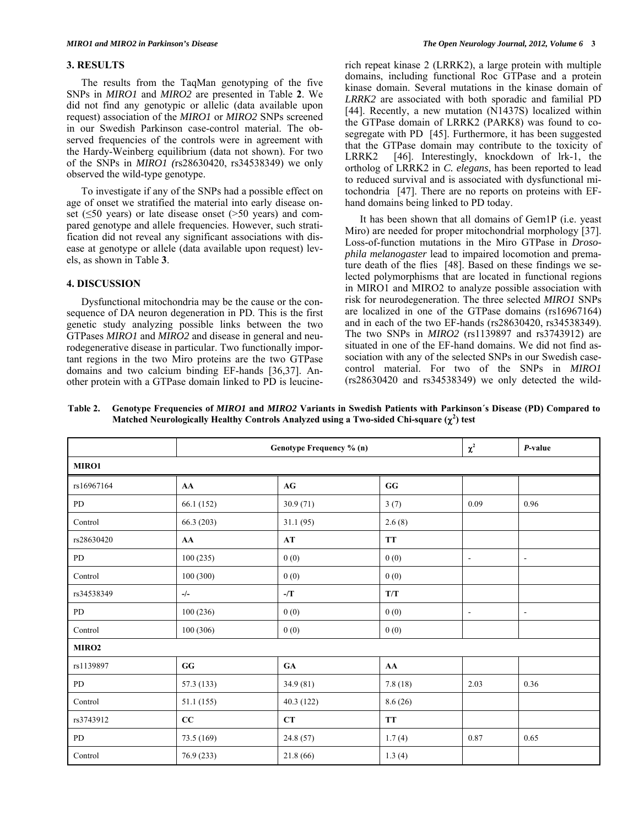### **3. RESULTS**

 The results from the TaqMan genotyping of the five SNPs in *MIRO1* and *MIRO2* are presented in Table **2**. We did not find any genotypic or allelic (data available upon request) association of the *MIRO1* or *MIRO2* SNPs screened in our Swedish Parkinson case-control material. The observed frequencies of the controls were in agreement with the Hardy-Weinberg equilibrium (data not shown). For two of the SNPs in *MIRO1 (*rs28630420, rs34538349) we only observed the wild-type genotype.

 To investigate if any of the SNPs had a possible effect on age of onset we stratified the material into early disease onset ( $\leq$ 50 years) or late disease onset ( $>$ 50 years) and compared genotype and allele frequencies. However, such stratification did not reveal any significant associations with disease at genotype or allele (data available upon request) levels, as shown in Table **3**.

# **4. DISCUSSION**

 Dysfunctional mitochondria may be the cause or the consequence of DA neuron degeneration in PD. This is the first genetic study analyzing possible links between the two GTPases *MIRO1* and *MIRO2* and disease in general and neurodegenerative disease in particular. Two functionally important regions in the two Miro proteins are the two GTPase domains and two calcium binding EF-hands [36,37]. Another protein with a GTPase domain linked to PD is leucinerich repeat kinase 2 (LRRK2), a large protein with multiple domains, including functional Roc GTPase and a protein kinase domain. Several mutations in the kinase domain of *LRRK2* are associated with both sporadic and familial PD [44]. Recently, a new mutation (N1437S) localized within the GTPase domain of LRRK2 (PARK8) was found to cosegregate with PD [45]. Furthermore, it has been suggested that the GTPase domain may contribute to the toxicity of LRRK2 [46]. Interestingly, knockdown of lrk-1, the ortholog of LRRK2 in *C. elegans*, has been reported to lead to reduced survival and is associated with dysfunctional mitochondria [47]. There are no reports on proteins with EFhand domains being linked to PD today.

 It has been shown that all domains of Gem1P (i.e. yeast Miro) are needed for proper mitochondrial morphology [37]. Loss-of-function mutations in the Miro GTPase in *Drosophila melanogaster* lead to impaired locomotion and premature death of the flies [48]. Based on these findings we selected polymorphisms that are located in functional regions in MIRO1 and MIRO2 to analyze possible association with risk for neurodegeneration. The three selected *MIRO1* SNPs are localized in one of the GTPase domains (rs16967164) and in each of the two EF-hands (rs28630420, rs34538349). The two SNPs in *MIRO2* (rs1139897 and rs3743912) are situated in one of the EF-hand domains. We did not find association with any of the selected SNPs in our Swedish casecontrol material. For two of the SNPs in *MIRO1* (rs28630420 and rs34538349) we only detected the wild-

**Table 2. Genotype Frequencies of** *MIRO1* **and** *MIRO2* **Variants in Swedish Patients with Parkinson´s Disease (PD) Compared to**  Matched Neurologically Healthy Controls Analyzed using a Two-sided Chi-square  $(\chi^2)$  test

|                   | Genotype Frequency % (n) |                        |                         | $\chi^2$                 | P-value                  |  |  |  |  |
|-------------------|--------------------------|------------------------|-------------------------|--------------------------|--------------------------|--|--|--|--|
| MIRO1             |                          |                        |                         |                          |                          |  |  |  |  |
| rs16967164        | AA                       | $\mathbf{A}\mathbf{G}$ | $\mathbf{G}\mathbf{G}$  |                          |                          |  |  |  |  |
| PD                | 66.1 (152)               | 30.9(71)               | 3(7)                    | 0.09                     | 0.96                     |  |  |  |  |
| Control           | 66.3 (203)               | 31.1(95)               | 2.6(8)                  |                          |                          |  |  |  |  |
| rs28630420        | AA                       | $\bf AT$               | <b>TT</b>               |                          |                          |  |  |  |  |
| PD                | 100(235)                 | 0(0)                   | 0(0)                    | $\overline{\phantom{a}}$ | $\overline{\phantom{a}}$ |  |  |  |  |
| Control           | 100(300)                 | 0(0)                   | 0(0)                    |                          |                          |  |  |  |  |
| rs34538349        | $-/-$                    | -/T                    | $\mathbf{T}/\mathbf{T}$ |                          |                          |  |  |  |  |
| PD                | 100(236)                 | 0(0)                   | 0(0)                    | $\overline{\phantom{a}}$ | $\overline{\phantom{a}}$ |  |  |  |  |
| Control           | 100 (306)                | 0(0)                   | 0(0)                    |                          |                          |  |  |  |  |
| MIRO <sub>2</sub> |                          |                        |                         |                          |                          |  |  |  |  |
| rs1139897         | $\mathbf{G}\mathbf{G}$   | ${\bf GA}$             | AA                      |                          |                          |  |  |  |  |
| PD                | 57.3 (133)               | 34.9 (81)              | 7.8(18)                 | 2.03                     | 0.36                     |  |  |  |  |
| Control           | 51.1 (155)               | 40.3 (122)             | 8.6(26)                 |                          |                          |  |  |  |  |
| rs3743912         | CC                       | CT                     | <b>TT</b>               |                          |                          |  |  |  |  |
| PD                | 73.5 (169)               | 24.8 (57)              | 1.7(4)                  | 0.87                     | 0.65                     |  |  |  |  |
| Control           | 76.9 (233)               | 21.8(66)               | 1.3(4)                  |                          |                          |  |  |  |  |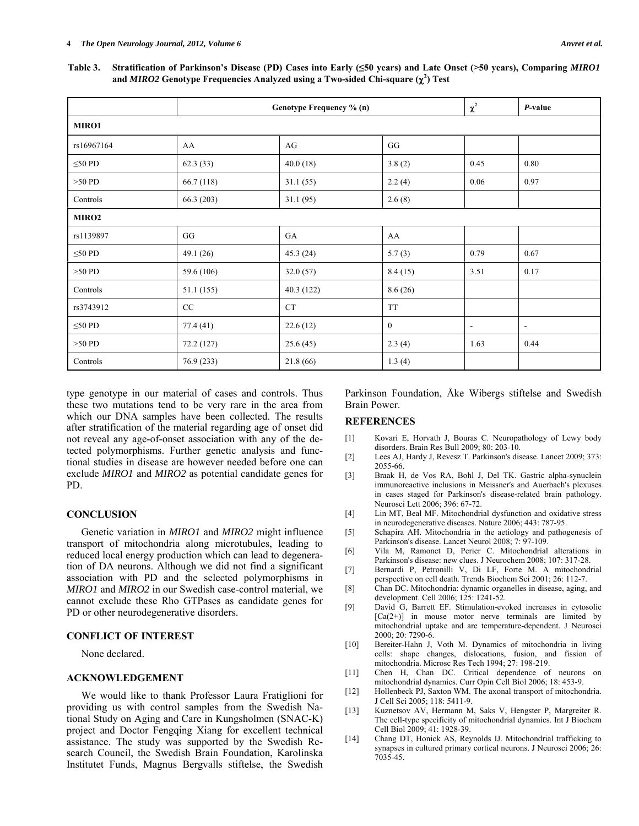**Table 3. Stratification of Parkinson's Disease (PD) Cases into Early (≤50 years) and Late Onset (>50 years), Comparing** *MIRO1* and *MIRO2* Genotype Frequencies Analyzed using a Two-sided Chi-square  $(\chi^2)$  Test

|                   | Genotype Frequency % (n) |           |              | $\chi^2$       | P-value                  |  |  |  |  |
|-------------------|--------------------------|-----------|--------------|----------------|--------------------------|--|--|--|--|
| MIRO1             |                          |           |              |                |                          |  |  |  |  |
| rs16967164        | AA                       | AG        | GG           |                |                          |  |  |  |  |
| $\leq 50$ PD      | 62.3(33)                 | 40.0(18)  | 3.8(2)       | 0.45           | 0.80                     |  |  |  |  |
| $>50$ PD          | 66.7 (118)               | 31.1(55)  | 2.2(4)       | 0.06           | 0.97                     |  |  |  |  |
| Controls          | 66.3 (203)               | 31.1(95)  | 2.6(8)       |                |                          |  |  |  |  |
| MIRO <sub>2</sub> |                          |           |              |                |                          |  |  |  |  |
| rs1139897         | GG                       | GA        | AA           |                |                          |  |  |  |  |
| $\leq 50$ PD      | 49.1(26)                 | 45.3(24)  | 5.7(3)       | 0.79           | 0.67                     |  |  |  |  |
| $>50$ PD          | 59.6 (106)               | 32.0(57)  | 8.4(15)      | 3.51           | 0.17                     |  |  |  |  |
| Controls          | 51.1 (155)               | 40.3(122) | 8.6(26)      |                |                          |  |  |  |  |
| rs3743912         | CC                       | <b>CT</b> | <b>TT</b>    |                |                          |  |  |  |  |
| $\leq 50$ PD      | 77.4 (41)                | 22.6(12)  | $\mathbf{0}$ | $\blacksquare$ | $\overline{\phantom{a}}$ |  |  |  |  |
| $>50$ PD          | 72.2 (127)               | 25.6(45)  | 2.3(4)       | 1.63           | 0.44                     |  |  |  |  |
| Controls          | 76.9 (233)               | 21.8(66)  | 1.3(4)       |                |                          |  |  |  |  |

type genotype in our material of cases and controls. Thus these two mutations tend to be very rare in the area from which our DNA samples have been collected. The results after stratification of the material regarding age of onset did not reveal any age-of-onset association with any of the detected polymorphisms. Further genetic analysis and functional studies in disease are however needed before one can exclude *MIRO1* and *MIRO2* as potential candidate genes for PD.

### **CONCLUSION**

 Genetic variation in *MIRO1* and *MIRO2* might influence transport of mitochondria along microtubules, leading to reduced local energy production which can lead to degeneration of DA neurons. Although we did not find a significant association with PD and the selected polymorphisms in *MIRO1* and *MIRO2* in our Swedish case-control material, we cannot exclude these Rho GTPases as candidate genes for PD or other neurodegenerative disorders.

# **CONFLICT OF INTEREST**

None declared.

# **ACKNOWLEDGEMENT**

 We would like to thank Professor Laura Fratiglioni for providing us with control samples from the Swedish National Study on Aging and Care in Kungsholmen (SNAC-K) project and Doctor Fengqing Xiang for excellent technical assistance. The study was supported by the Swedish Research Council, the Swedish Brain Foundation, Karolinska Institutet Funds, Magnus Bergvalls stiftelse, the Swedish Parkinson Foundation, Åke Wibergs stiftelse and Swedish Brain Power.

# **REFERENCES**

- [1] Kovari E, Horvath J, Bouras C. Neuropathology of Lewy body disorders. Brain Res Bull 2009; 80: 203-10.
- [2] Lees AJ, Hardy J, Revesz T. Parkinson's disease. Lancet 2009; 373: 2055-66.
- [3] Braak H, de Vos RA, Bohl J, Del TK. Gastric alpha-synuclein immunoreactive inclusions in Meissner's and Auerbach's plexuses in cases staged for Parkinson's disease-related brain pathology. Neurosci Lett 2006; 396: 67-72.
- [4] Lin MT, Beal MF. Mitochondrial dysfunction and oxidative stress in neurodegenerative diseases. Nature 2006; 443: 787-95.
- [5] Schapira AH. Mitochondria in the aetiology and pathogenesis of Parkinson's disease. Lancet Neurol 2008; 7: 97-109.
- [6] Vila M, Ramonet D, Perier C. Mitochondrial alterations in Parkinson's disease: new clues. J Neurochem 2008; 107: 317-28.
- [7] Bernardi P, Petronilli V, Di LF, Forte M. A mitochondrial perspective on cell death. Trends Biochem Sci 2001; 26: 112-7.
- [8] Chan DC. Mitochondria: dynamic organelles in disease, aging, and development. Cell 2006; 125: 1241-52.
- [9] David G, Barrett EF. Stimulation-evoked increases in cytosolic  $[Ca(2+)]$  in mouse motor nerve terminals are limited by mitochondrial uptake and are temperature-dependent. J Neurosci 2000; 20: 7290-6.
- [10] Bereiter-Hahn J, Voth M. Dynamics of mitochondria in living cells: shape changes, dislocations, fusion, and fission of mitochondria. Microsc Res Tech 1994; 27: 198-219.
- [11] Chen H, Chan DC. Critical dependence of neurons on mitochondrial dynamics. Curr Opin Cell Biol 2006; 18: 453-9.
- [12] Hollenbeck PJ, Saxton WM. The axonal transport of mitochondria. J Cell Sci 2005; 118: 5411-9.
- [13] Kuznetsov AV, Hermann M, Saks V, Hengster P, Margreiter R. The cell-type specificity of mitochondrial dynamics. Int J Biochem Cell Biol 2009; 41: 1928-39.
- [14] Chang DT, Honick AS, Reynolds IJ. Mitochondrial trafficking to synapses in cultured primary cortical neurons. J Neurosci 2006; 26: 7035-45.